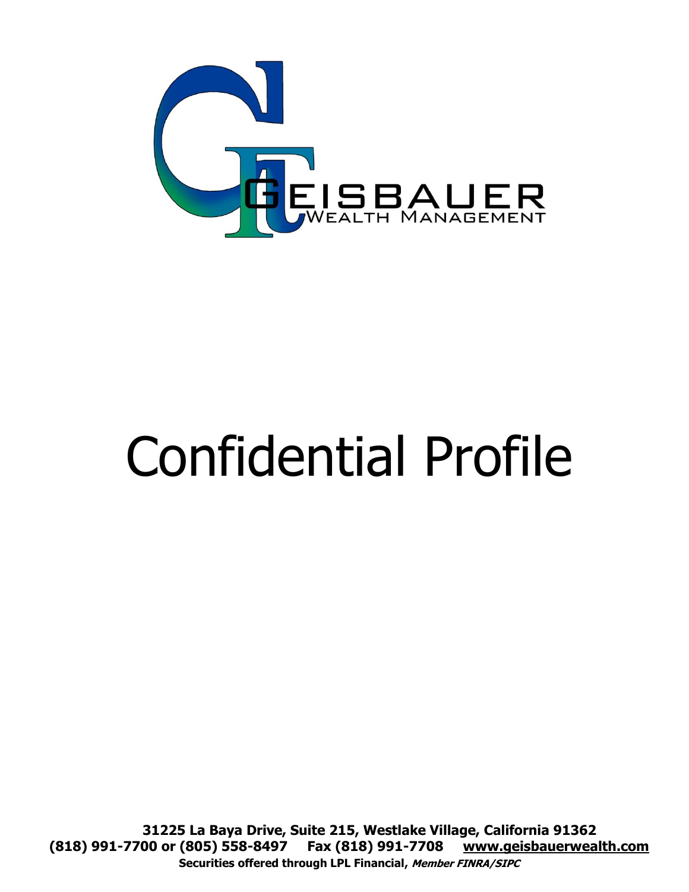

# Confidential Profile

**31225 La Baya Drive, Suite 215, Westlake Village, California 91362 (818) 991-7700 or (805) 558-8497 Fax (818) 991-7708 www.geisbauerwealth.com Securities offered through LPL Financial, Member FINRA/SIPC**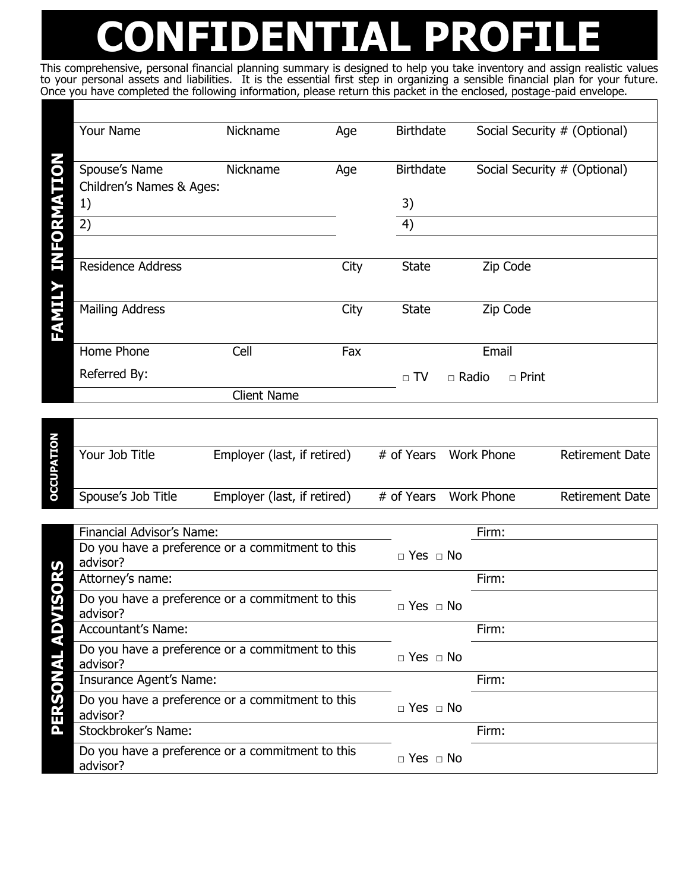## **CONFIDENTIAL PROFILE**

This comprehensive, personal financial planning summary is designed to help you take inventory and assign realistic values to your personal assets and liabilities. It is the essential first step in organizing a sensible financial plan for your future. Once you have completed the following information, please return this packet in the enclosed, postage-paid envelope.

| Your Name                                             | Nickname           | Age  | <b>Birthdate</b>             | Social Security # (Optional) |
|-------------------------------------------------------|--------------------|------|------------------------------|------------------------------|
| Spouse's Name<br>Children's Names & Ages:<br>1)<br>2) | Nickname           | Age  | <b>Birthdate</b><br>3)<br>4) | Social Security # (Optional) |
|                                                       |                    |      |                              |                              |
| <b>Residence Address</b>                              |                    | City | <b>State</b>                 | Zip Code                     |
| <b>Mailing Address</b>                                |                    | City | <b>State</b>                 | Zip Code                     |
| Home Phone                                            | Cell               | Fax  |                              | Email                        |
| Referred By:                                          |                    |      | $\Box$ TV<br>$\Box$ Radio    | $\Box$ Print                 |
|                                                       | <b>Client Name</b> |      |                              |                              |
|                                                       |                    |      |                              |                              |

| ρ<br>A. | Your Job Title     | Employer (last, if retired) |            | # of Years Work Phone | <b>Retirement Date</b> |
|---------|--------------------|-----------------------------|------------|-----------------------|------------------------|
|         | Spouse's Job Title | Employer (last, if retired) | # of Years | Work Phone            | Retirement Date        |

|   | Financial Advisor's Name:                                    |                      | Firm: |
|---|--------------------------------------------------------------|----------------------|-------|
|   | Do you have a preference or a commitment to this<br>advisor? | $\Box$ Yes $\Box$ No |       |
|   | Attorney's name:                                             |                      | Firm: |
|   | Do you have a preference or a commitment to this<br>advisor? | $\Box$ Yes $\Box$ No |       |
| o | <b>Accountant's Name:</b>                                    |                      | Firm: |
|   | Do you have a preference or a commitment to this<br>advisor? | $\Box$ Yes $\Box$ No |       |
|   | Insurance Agent's Name:                                      |                      | Firm: |
| π | Do you have a preference or a commitment to this<br>advisor? | $\Box$ Yes $\Box$ No |       |
| Δ | Stockbroker's Name:                                          |                      | Firm: |
|   | Do you have a preference or a commitment to this<br>advisor? | $\Box$ Yes $\Box$ No |       |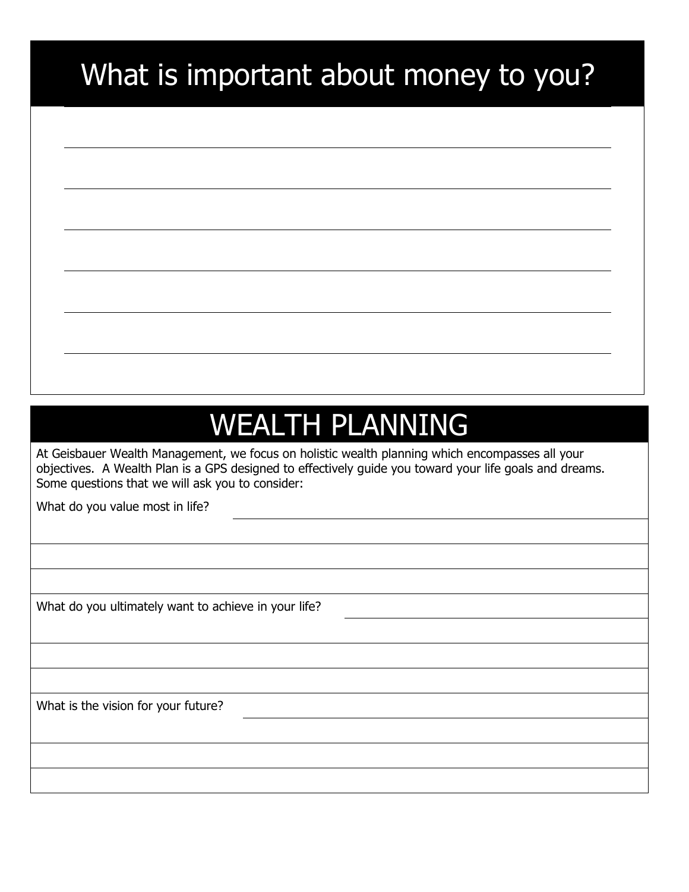### What is important about money to you?

### WEALTH PLANNING

At Geisbauer Wealth Management, we focus on holistic wealth planning which encompasses all your objectives. A Wealth Plan is a GPS designed to effectively guide you toward your life goals and dreams. Some questions that we will ask you to consider:

What do you value most in life?

What do you ultimately want to achieve in your life?

What is the vision for your future?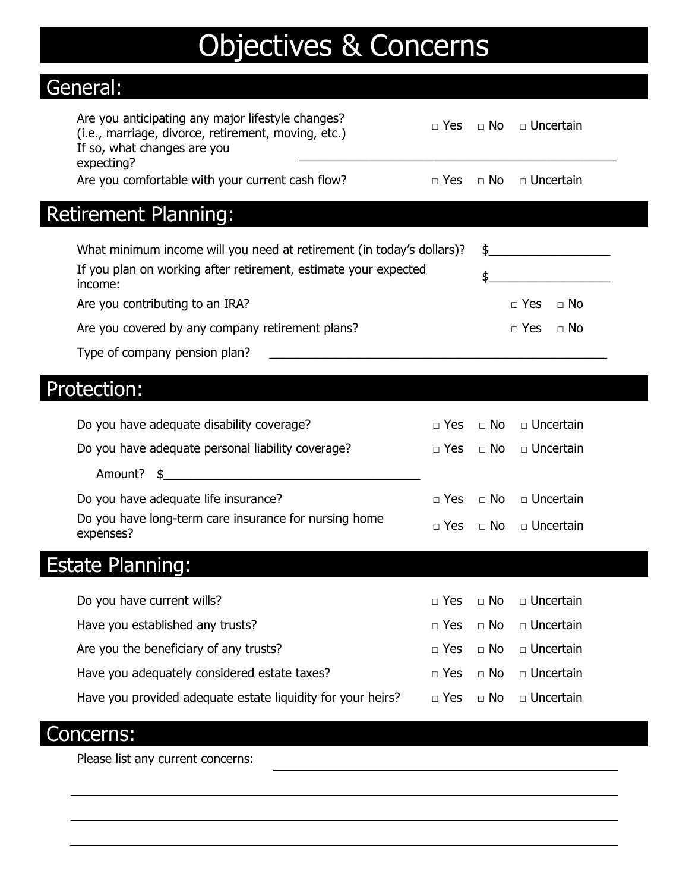### Objectives & Concerns General: Are you anticipating any major lifestyle changes? die you andelpading any major mestyle changes:<br>(i.e., marriage, divorce, retirement, moving, etc.) Des □ Yes □ No □ Uncertain If so, what changes are you 1 so, what changes are you<br>expecting? Are you comfortable with your current cash flow?  $\Box$  Yes  $\Box$  No  $\Box$  Uncertain Retirement Planning: What minimum income will you need at retirement (in today's dollars)?  $\quad$ If you plan on working after retirement, estimate your expected  $\qquad \qquad \quad \mathfrak{s}$ Are you contributing to an IRA?  $\Box$  Yes  $\Box$  No Are you covered by any company retirement plans?  $\Box$  Yes  $\Box$  No Type of company pension plan? Protection: Do you have adequate disability coverage? □ Yes □ No □ Uncertain Do you have adequate personal liability coverage? □ □ Yes □ No □ Uncertain Amount?  $\quad$ \$ Do you have adequate life insurance? □ Yes □ No □ Uncertain Do you have long-term care insurance for nursing home  $\Box$  Yes  $\Box$  No  $\Box$  Uncertain expenses? Estate Planning: Do you have current wills? □ Yes □ No □ Uncertain Have you established any trusts? □ Yes □ No □ Uncertain Are you the beneficiary of any trusts?  $\Box$   $\Box$  Yes  $\Box$  No  $\Box$  Uncertain Have you adequately considered estate taxes? □ Yes □ No □ Uncertain Have you provided adequate estate liquidity for your heirs?  $\Box$  Yes  $\Box$  No  $\Box$  Uncertain

#### Concerns:

Please list any current concerns: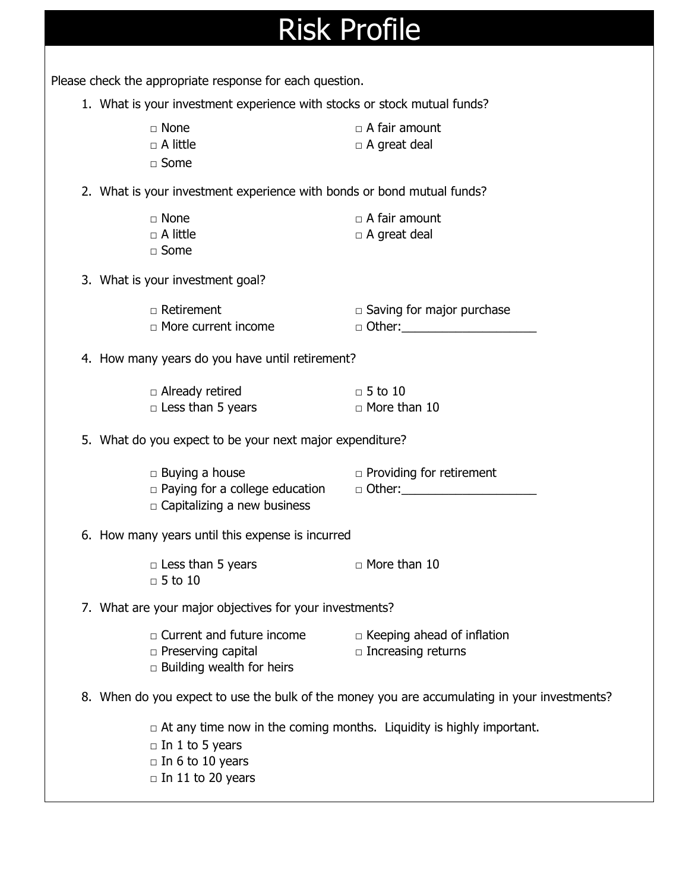| <b>Risk Profile</b> |  |
|---------------------|--|
|---------------------|--|

Please check the appropriate response for each question. 1. What is your investment experience with stocks or stock mutual funds? □ None □ △ □ △ □ △ fair amount □ A little □ A great deal □ Some 2. What is your investment experience with bonds or bond mutual funds? □ None □ △ A fair amount □ A little □ A great deal  $\Box$  Some 3. What is your investment goal? □ Retirement □ Saving for major purchase □ More current income □ Other:\_\_\_\_\_\_\_\_\_\_\_\_\_\_\_\_\_\_\_\_ 4. How many years do you have until retirement? □ Already retired □ 5 to 10 □ Less than 5 years □ More than 10 5. What do you expect to be your next major expenditure? □ Buying a house □ Providing for retirement □ Paying for a college education □ Other:\_\_\_\_\_\_\_\_\_\_\_\_\_\_\_\_\_\_\_\_  $\Box$  Capitalizing a new business 6. How many years until this expense is incurred □ Less than 5 years □ △ More than 10  $\Box$  5 to 10 7. What are your major objectives for your investments? □ Current and future income □ Keeping ahead of inflation □ Preserving capital □ □ Increasing returns  $\Box$  Building wealth for heirs 8. When do you expect to use the bulk of the money you are accumulating in your investments?  $\Box$  At any time now in the coming months. Liquidity is highly important.  $\Box$  In 1 to 5 years  $\Box$  In 6 to 10 years

 $\Box$  In 11 to 20 years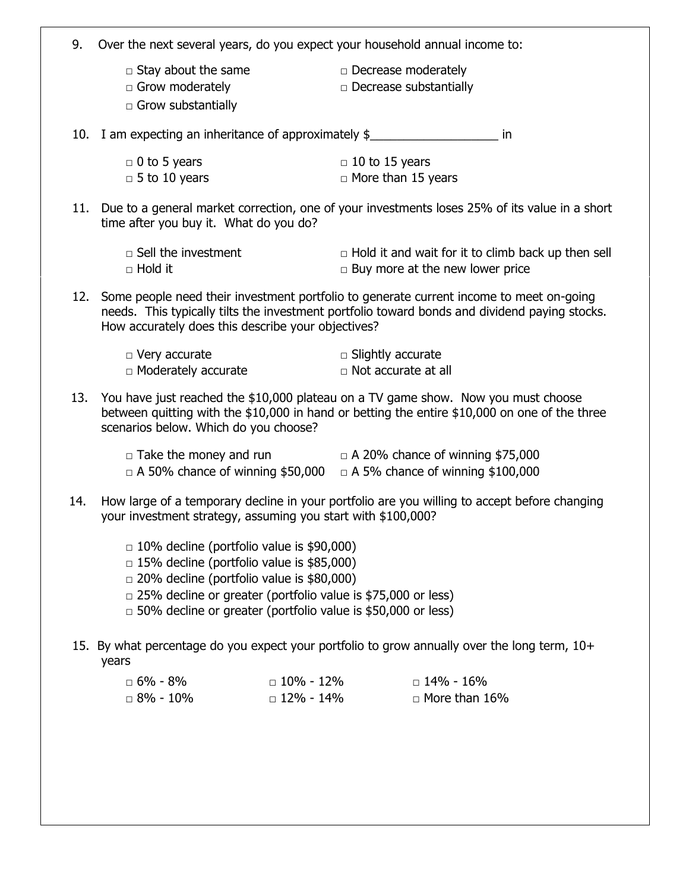| 9.  | Over the next several years, do you expect your household annual income to:                                                                                                                                                                                                                            |                                 |                                                                                                     |  |  |  |  |  |
|-----|--------------------------------------------------------------------------------------------------------------------------------------------------------------------------------------------------------------------------------------------------------------------------------------------------------|---------------------------------|-----------------------------------------------------------------------------------------------------|--|--|--|--|--|
|     | $\Box$ Stay about the same<br>$\Box$ Grow moderately<br>$\Box$ Grow substantially                                                                                                                                                                                                                      |                                 | $\Box$ Decrease moderately<br>$\Box$ Decrease substantially                                         |  |  |  |  |  |
|     | 10. I am expecting an inheritance of approximately \$<br>in                                                                                                                                                                                                                                            |                                 |                                                                                                     |  |  |  |  |  |
|     | $\Box$ 0 to 5 years<br>$\Box$ 5 to 10 years                                                                                                                                                                                                                                                            |                                 | $\Box$ 10 to 15 years<br>$\Box$ More than 15 years                                                  |  |  |  |  |  |
|     | 11. Due to a general market correction, one of your investments loses 25% of its value in a short<br>time after you buy it. What do you do?                                                                                                                                                            |                                 |                                                                                                     |  |  |  |  |  |
|     | $\Box$ Sell the investment<br>$\Box$ Hold it                                                                                                                                                                                                                                                           |                                 | $\Box$ Hold it and wait for it to climb back up then sell<br>$\Box$ Buy more at the new lower price |  |  |  |  |  |
|     | 12. Some people need their investment portfolio to generate current income to meet on-going<br>needs. This typically tilts the investment portfolio toward bonds and dividend paying stocks.<br>How accurately does this describe your objectives?                                                     |                                 |                                                                                                     |  |  |  |  |  |
|     | $\Box$ Very accurate<br>$\Box$ Moderately accurate                                                                                                                                                                                                                                                     |                                 | $\Box$ Slightly accurate<br>$\Box$ Not accurate at all                                              |  |  |  |  |  |
|     | 13. You have just reached the \$10,000 plateau on a TV game show. Now you must choose<br>between quitting with the \$10,000 in hand or betting the entire \$10,000 on one of the three<br>scenarios below. Which do you choose?                                                                        |                                 |                                                                                                     |  |  |  |  |  |
|     | $\Box$ Take the money and run $\Box$ A 20% chance of winning \$75,000<br>$\Box$ A 50% chance of winning \$50,000 $\Box$ A 5% chance of winning \$100,000                                                                                                                                               |                                 |                                                                                                     |  |  |  |  |  |
| 14. | How large of a temporary decline in your portfolio are you willing to accept before changing<br>your investment strategy, assuming you start with \$100,000?                                                                                                                                           |                                 |                                                                                                     |  |  |  |  |  |
|     | $\Box$ 10% decline (portfolio value is \$90,000)<br>$\Box$ 15% decline (portfolio value is \$85,000)<br>$\Box$ 20% decline (portfolio value is \$80,000)<br>$\Box$ 25% decline or greater (portfolio value is \$75,000 or less)<br>$\Box$ 50% decline or greater (portfolio value is \$50,000 or less) |                                 |                                                                                                     |  |  |  |  |  |
|     | 15. By what percentage do you expect your portfolio to grow annually over the long term, 10+<br>years                                                                                                                                                                                                  |                                 |                                                                                                     |  |  |  |  |  |
|     | $\Box$ 6% - 8%<br>$\Box$ 8% - 10%                                                                                                                                                                                                                                                                      | $\Box$ 10% - 12%<br>□ 12% - 14% | $\Box$ 14% - 16%<br>$\Box$ More than 16%                                                            |  |  |  |  |  |
|     |                                                                                                                                                                                                                                                                                                        |                                 |                                                                                                     |  |  |  |  |  |
|     |                                                                                                                                                                                                                                                                                                        |                                 |                                                                                                     |  |  |  |  |  |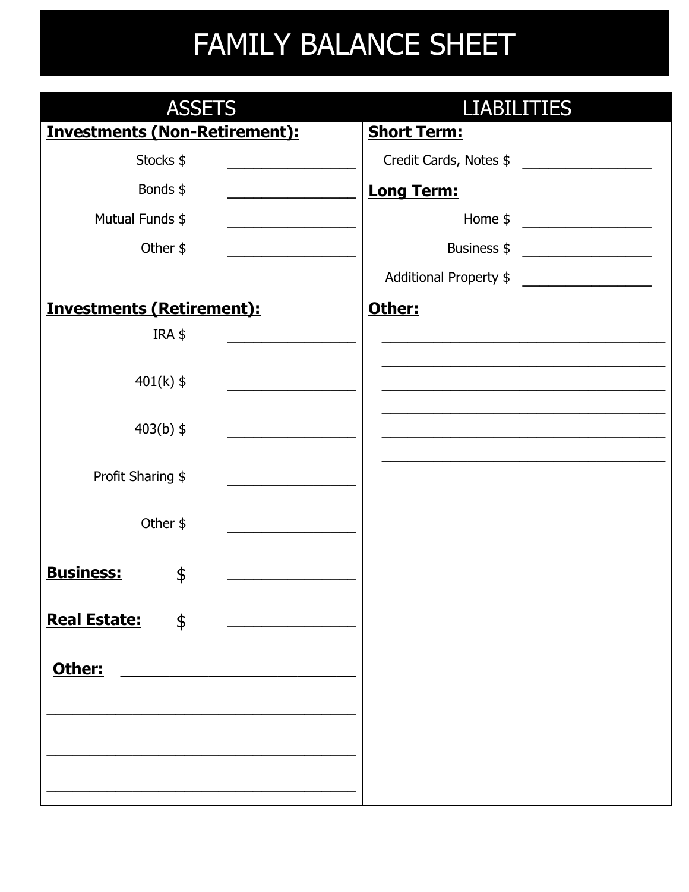### FAMILY BALANCE SHEET

| <b>ASSETS</b>                        |                                              |                        | <b>LIABILITIES</b>                                   |  |  |  |  |
|--------------------------------------|----------------------------------------------|------------------------|------------------------------------------------------|--|--|--|--|
| <b>Investments (Non-Retirement):</b> |                                              | <b>Short Term:</b>     |                                                      |  |  |  |  |
| Stocks \$                            |                                              | Credit Cards, Notes \$ |                                                      |  |  |  |  |
| Bonds \$                             | and the control of the control of            | <b>Long Term:</b>      |                                                      |  |  |  |  |
| Mutual Funds \$                      | the control of the control of the control of |                        | Home $\frac{1}{2}$                                   |  |  |  |  |
| Other $$$                            |                                              |                        | Business $\frac{1}{2}$                               |  |  |  |  |
|                                      |                                              | Additional Property \$ | <u> 1980 - Andrea Station Books, ameri</u> kansk kon |  |  |  |  |
| <b>Investments (Retirement):</b>     |                                              | Other:                 |                                                      |  |  |  |  |
| IRA \$                               |                                              |                        |                                                      |  |  |  |  |
| $401(k)$ \$                          |                                              |                        |                                                      |  |  |  |  |
| $403(b)$ \$                          |                                              |                        |                                                      |  |  |  |  |
| Profit Sharing \$                    |                                              |                        |                                                      |  |  |  |  |
| Other \$                             |                                              |                        |                                                      |  |  |  |  |
| <b>Business:</b><br>\$               |                                              |                        |                                                      |  |  |  |  |
| <b>Real Estate:</b><br>\$            |                                              |                        |                                                      |  |  |  |  |
| Other:                               |                                              |                        |                                                      |  |  |  |  |
|                                      |                                              |                        |                                                      |  |  |  |  |
|                                      |                                              |                        |                                                      |  |  |  |  |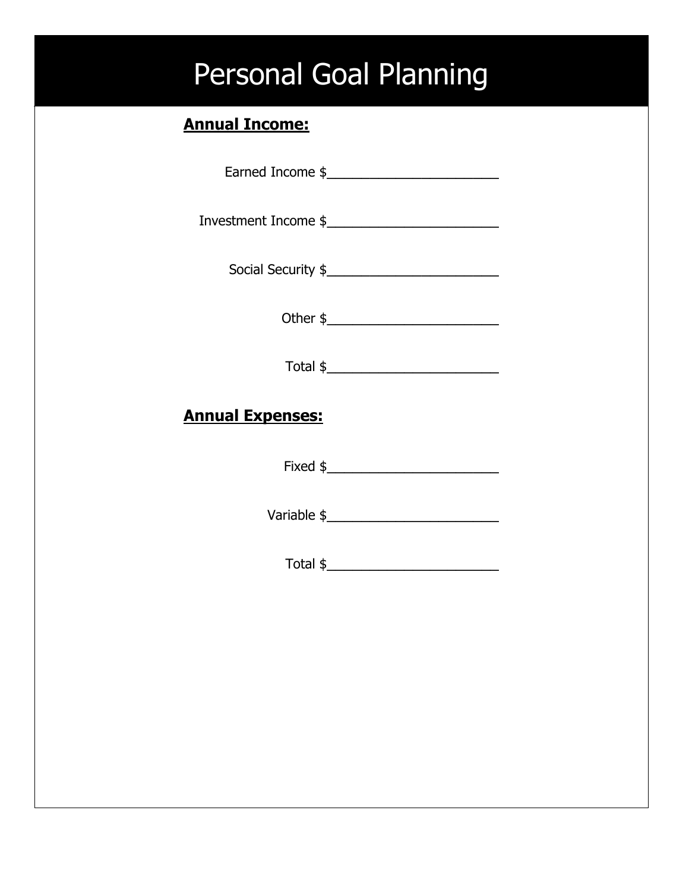### Personal Goal Planning

#### **Annual Income:**

Earned Income \$\_\_\_\_\_\_\_\_\_\_\_\_\_\_\_\_\_\_\_\_

Investment Income \$\_\_\_\_\_\_\_\_\_\_\_\_\_\_\_\_\_\_\_\_

Social Security  $\frac{1}{2}$ 

Other \$\_\_\_\_\_\_\_\_\_\_\_\_\_\_\_\_\_\_\_\_

Total  $\oint$ 

#### **Annual Expenses:**

Fixed  $\frac{1}{2}$ 

Variable \$\_\_\_\_\_\_\_\_\_\_\_\_\_\_\_\_\_\_\_\_

Total \$\_\_\_\_\_\_\_\_\_\_\_\_\_\_\_\_\_\_\_\_